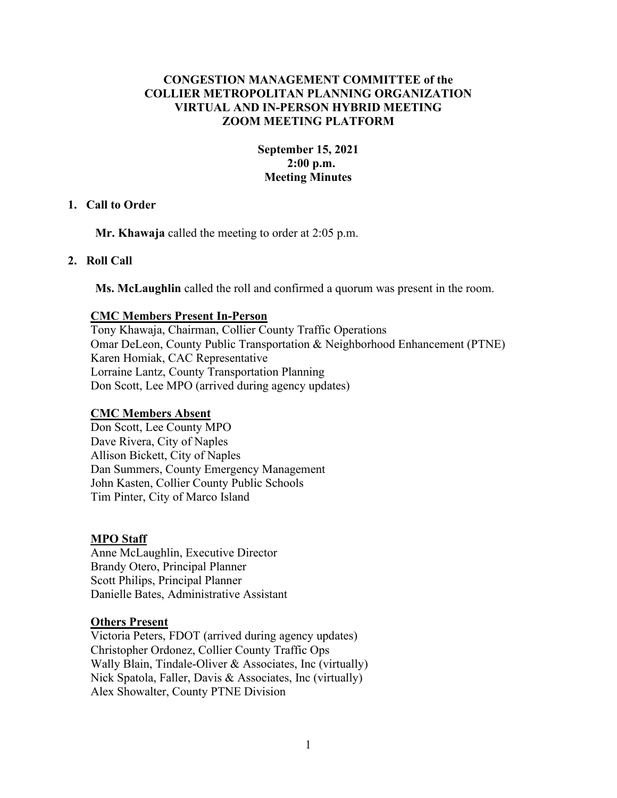# **CONGESTION MANAGEMENT COMMITTEE of the COLLIER METROPOLITAN PLANNING ORGANIZATION VIRTUAL AND IN-PERSON HYBRID MEETING ZOOM MEETING PLATFORM**

# **September 15, 2021 2:00 p.m. Meeting Minutes**

## **1. Call to Order**

**Mr. Khawaja** called the meeting to order at 2:05 p.m.

# **2. Roll Call**

**Ms. McLaughlin** called the roll and confirmed a quorum was present in the room.

# **CMC Members Present In-Person**

Tony Khawaja, Chairman, Collier County Traffic Operations Omar DeLeon, County Public Transportation & Neighborhood Enhancement (PTNE) Karen Homiak, CAC Representative Lorraine Lantz, County Transportation Planning Don Scott, Lee MPO (arrived during agency updates)

# **CMC Members Absent**

Don Scott, Lee County MPO Dave Rivera, City of Naples Allison Bickett, City of Naples Dan Summers, County Emergency Management John Kasten, Collier County Public Schools Tim Pinter, City of Marco Island

## **MPO Staff**

Anne McLaughlin, Executive Director Brandy Otero, Principal Planner Scott Philips, Principal Planner Danielle Bates, Administrative Assistant

## **Others Present**

Victoria Peters, FDOT (arrived during agency updates) Christopher Ordonez, Collier County Traffic Ops Wally Blain, Tindale-Oliver & Associates, Inc (virtually) Nick Spatola, Faller, Davis & Associates, Inc (virtually) Alex Showalter, County PTNE Division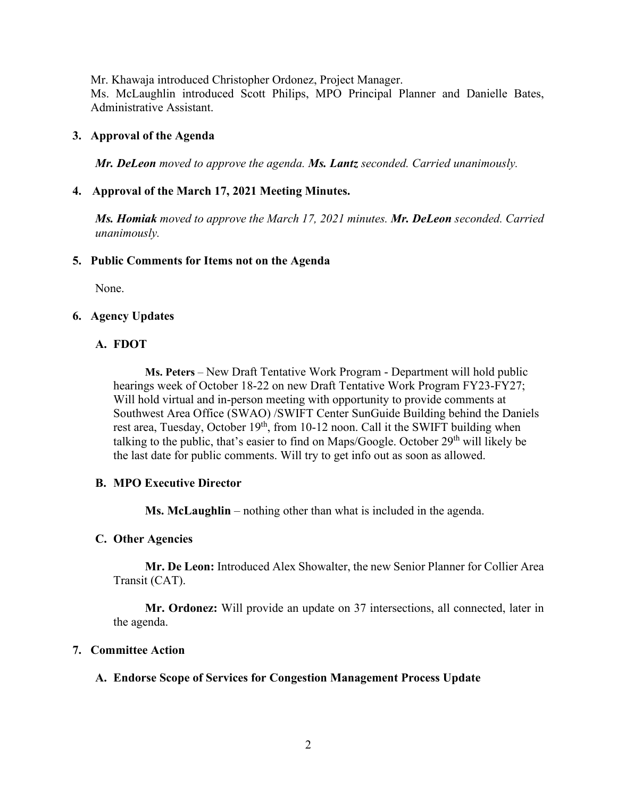Mr. Khawaja introduced Christopher Ordonez, Project Manager.

Ms. McLaughlin introduced Scott Philips, MPO Principal Planner and Danielle Bates, Administrative Assistant.

# **3. Approval of the Agenda**

*Mr. DeLeon moved to approve the agenda. Ms. Lantz seconded. Carried unanimously.*

# **4. Approval of the March 17, 2021 Meeting Minutes.**

*Ms. Homiak moved to approve the March 17, 2021 minutes. Mr. DeLeon seconded. Carried unanimously.*

## **5. Public Comments for Items not on the Agenda**

None.

## **6. Agency Updates**

# **A. FDOT**

**Ms. Peters** – New Draft Tentative Work Program - Department will hold public hearings week of October 18-22 on new Draft Tentative Work Program FY23-FY27; Will hold virtual and in-person meeting with opportunity to provide comments at Southwest Area Office (SWAO) /SWIFT Center SunGuide Building behind the Daniels rest area, Tuesday, October  $19<sup>th</sup>$ , from 10-12 noon. Call it the SWIFT building when talking to the public, that's easier to find on Maps/Google. October  $29<sup>th</sup>$  will likely be the last date for public comments. Will try to get info out as soon as allowed.

## **B. MPO Executive Director**

**Ms. McLaughlin** – nothing other than what is included in the agenda.

## **C. Other Agencies**

**Mr. De Leon:** Introduced Alex Showalter, the new Senior Planner for Collier Area Transit (CAT).

**Mr. Ordonez:** Will provide an update on 37 intersections, all connected, later in the agenda.

## **7. Committee Action**

## **A. Endorse Scope of Services for Congestion Management Process Update**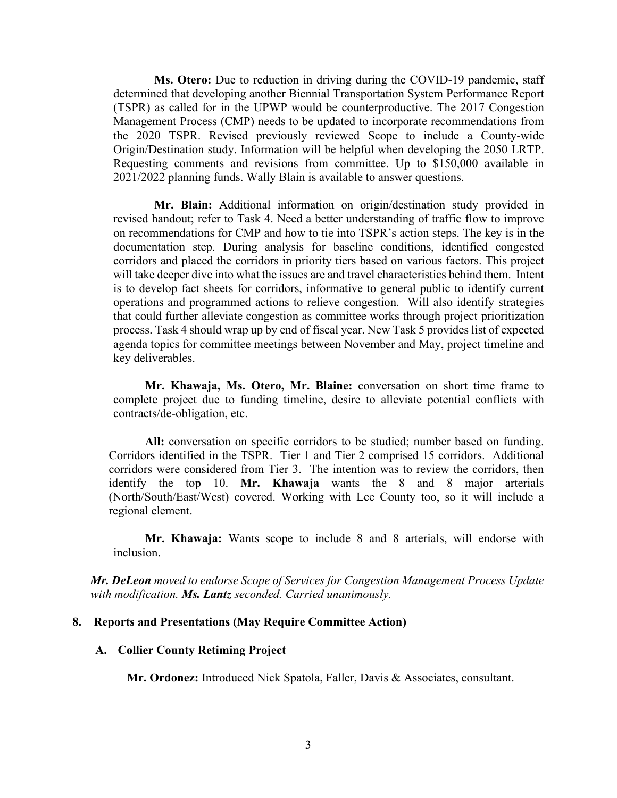**Ms. Otero:** Due to reduction in driving during the COVID-19 pandemic, staff determined that developing another Biennial Transportation System Performance Report (TSPR) as called for in the UPWP would be counterproductive. The 2017 Congestion Management Process (CMP) needs to be updated to incorporate recommendations from the 2020 TSPR. Revised previously reviewed Scope to include a County-wide Origin/Destination study. Information will be helpful when developing the 2050 LRTP. Requesting comments and revisions from committee. Up to \$150,000 available in 2021/2022 planning funds. Wally Blain is available to answer questions.

**Mr. Blain:** Additional information on origin/destination study provided in revised handout; refer to Task 4. Need a better understanding of traffic flow to improve on recommendations for CMP and how to tie into TSPR's action steps. The key is in the documentation step. During analysis for baseline conditions, identified congested corridors and placed the corridors in priority tiers based on various factors. This project will take deeper dive into what the issues are and travel characteristics behind them. Intent is to develop fact sheets for corridors, informative to general public to identify current operations and programmed actions to relieve congestion. Will also identify strategies that could further alleviate congestion as committee works through project prioritization process. Task 4 should wrap up by end of fiscal year. New Task 5 provides list of expected agenda topics for committee meetings between November and May, project timeline and key deliverables.

**Mr. Khawaja, Ms. Otero, Mr. Blaine:** conversation on short time frame to complete project due to funding timeline, desire to alleviate potential conflicts with contracts/de-obligation, etc.

**All:** conversation on specific corridors to be studied; number based on funding. Corridors identified in the TSPR. Tier 1 and Tier 2 comprised 15 corridors. Additional corridors were considered from Tier 3. The intention was to review the corridors, then identify the top 10. **Mr. Khawaja** wants the 8 and 8 major arterials (North/South/East/West) covered. Working with Lee County too, so it will include a regional element.

**Mr. Khawaja:** Wants scope to include 8 and 8 arterials, will endorse with inclusion.

*Mr. DeLeon moved to endorse Scope of Services for Congestion Management Process Update with modification. Ms. Lantz seconded. Carried unanimously.*

#### **8. Reports and Presentations (May Require Committee Action)**

#### **A. Collier County Retiming Project**

**Mr. Ordonez:** Introduced Nick Spatola, Faller, Davis & Associates, consultant.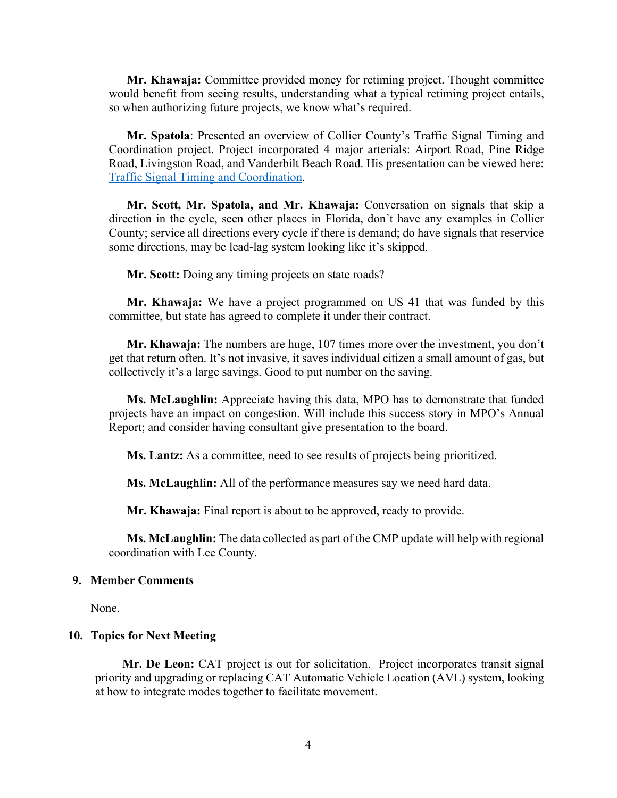**Mr. Khawaja:** Committee provided money for retiming project. Thought committee would benefit from seeing results, understanding what a typical retiming project entails, so when authorizing future projects, we know what's required.

**Mr. Spatola**: Presented an overview of Collier County's Traffic Signal Timing and Coordination project. Project incorporated 4 major arterials: Airport Road, Pine Ridge Road, Livingston Road, and Vanderbilt Beach Road. His presentation can be viewed here: [Traffic Signal Timing and Coordination.](https://www.colliermpo.org/wp-content/uploads/2021/12/Collier-Retiming-2021-V2.pdf)

**Mr. Scott, Mr. Spatola, and Mr. Khawaja:** Conversation on signals that skip a direction in the cycle, seen other places in Florida, don't have any examples in Collier County; service all directions every cycle if there is demand; do have signals that reservice some directions, may be lead-lag system looking like it's skipped.

**Mr. Scott:** Doing any timing projects on state roads?

**Mr. Khawaja:** We have a project programmed on US 41 that was funded by this committee, but state has agreed to complete it under their contract.

**Mr. Khawaja:** The numbers are huge, 107 times more over the investment, you don't get that return often. It's not invasive, it saves individual citizen a small amount of gas, but collectively it's a large savings. Good to put number on the saving.

**Ms. McLaughlin:** Appreciate having this data, MPO has to demonstrate that funded projects have an impact on congestion. Will include this success story in MPO's Annual Report; and consider having consultant give presentation to the board.

**Ms. Lantz:** As a committee, need to see results of projects being prioritized.

**Ms. McLaughlin:** All of the performance measures say we need hard data.

**Mr. Khawaja:** Final report is about to be approved, ready to provide.

**Ms. McLaughlin:** The data collected as part of the CMP update will help with regional coordination with Lee County.

#### **9. Member Comments**

None.

#### **10. Topics for Next Meeting**

**Mr. De Leon:** CAT project is out for solicitation. Project incorporates transit signal priority and upgrading or replacing CAT Automatic Vehicle Location (AVL) system, looking at how to integrate modes together to facilitate movement.